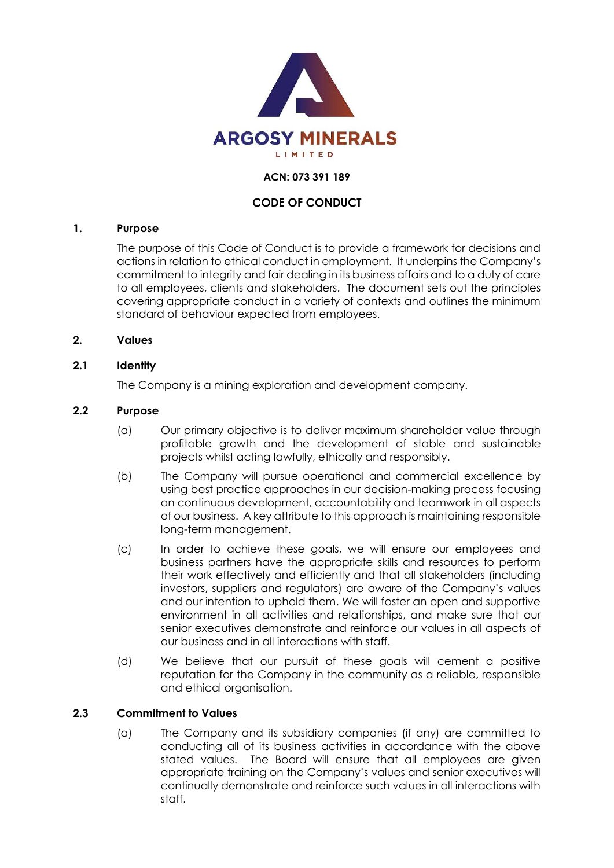

### **ACN: 073 391 189**

# **CODE OF CONDUCT**

#### **1. Purpose**

The purpose of this Code of Conduct is to provide a framework for decisions and actions in relation to ethical conduct in employment. It underpins the Company's commitment to integrity and fair dealing in its business affairs and to a duty of care to all employees, clients and stakeholders. The document sets out the principles covering appropriate conduct in a variety of contexts and outlines the minimum standard of behaviour expected from employees.

#### **2. Values**

#### **2.1 Identity**

The Company is a mining exploration and development company.

#### **2.2 Purpose**

- (a) Our primary objective is to deliver maximum shareholder value through profitable growth and the development of stable and sustainable projects whilst acting lawfully, ethically and responsibly.
- (b) The Company will pursue operational and commercial excellence by using best practice approaches in our decision-making process focusing on continuous development, accountability and teamwork in all aspects of our business. A key attribute to this approach is maintaining responsible long-term management.
- (c) In order to achieve these goals, we will ensure our employees and business partners have the appropriate skills and resources to perform their work effectively and efficiently and that all stakeholders (including investors, suppliers and regulators) are aware of the Company's values and our intention to uphold them. We will foster an open and supportive environment in all activities and relationships, and make sure that our senior executives demonstrate and reinforce our values in all aspects of our business and in all interactions with staff.
- (d) We believe that our pursuit of these goals will cement a positive reputation for the Company in the community as a reliable, responsible and ethical organisation.

### **2.3 Commitment to Values**

(a) The Company and its subsidiary companies (if any) are committed to conducting all of its business activities in accordance with the above stated values. The Board will ensure that all employees are given appropriate training on the Company's values and senior executives will continually demonstrate and reinforce such values in all interactions with staff.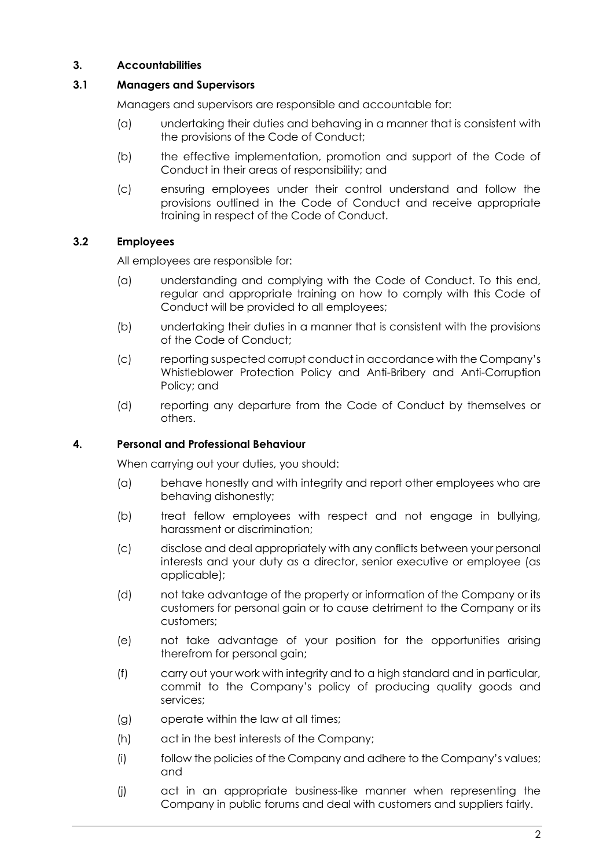# **3. Accountabilities**

## **3.1 Managers and Supervisors**

Managers and supervisors are responsible and accountable for:

- (a) undertaking their duties and behaving in a manner that is consistent with the provisions of the Code of Conduct;
- (b) the effective implementation, promotion and support of the Code of Conduct in their areas of responsibility; and
- (c) ensuring employees under their control understand and follow the provisions outlined in the Code of Conduct and receive appropriate training in respect of the Code of Conduct.

## **3.2 Employees**

All employees are responsible for:

- (a) understanding and complying with the Code of Conduct. To this end, regular and appropriate training on how to comply with this Code of Conduct will be provided to all employees;
- (b) undertaking their duties in a manner that is consistent with the provisions of the Code of Conduct;
- (c) reporting suspected corrupt conduct in accordance with the Company's Whistleblower Protection Policy and Anti-Bribery and Anti-Corruption Policy; and
- (d) reporting any departure from the Code of Conduct by themselves or others.

### **4. Personal and Professional Behaviour**

When carrying out your duties, you should:

- (a) behave honestly and with integrity and report other employees who are behaving dishonestly;
- (b) treat fellow employees with respect and not engage in bullying, harassment or discrimination;
- (c) disclose and deal appropriately with any conflicts between your personal interests and your duty as a director, senior executive or employee (as applicable);
- (d) not take advantage of the property or information of the Company or its customers for personal gain or to cause detriment to the Company or its customers;
- (e) not take advantage of your position for the opportunities arising therefrom for personal gain;
- (f) carry out your work with integrity and to a high standard and in particular, commit to the Company's policy of producing quality goods and services;
- (g) operate within the law at all times;
- (h) act in the best interests of the Company;
- (i) follow the policies of the Company and adhere to the Company's values; and
- (j) act in an appropriate business-like manner when representing the Company in public forums and deal with customers and suppliers fairly.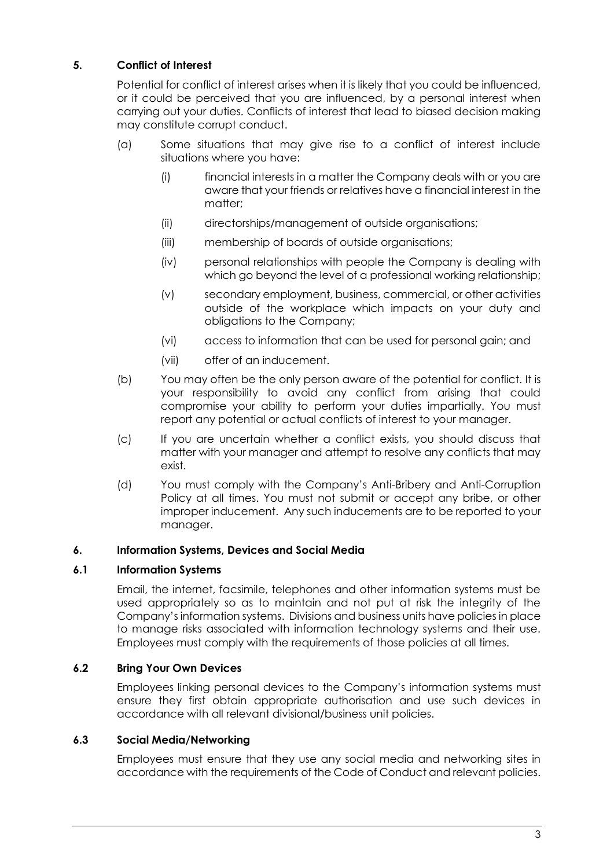# **5. Conflict of Interest**

Potential for conflict of interest arises when it is likely that you could be influenced, or it could be perceived that you are influenced, by a personal interest when carrying out your duties. Conflicts of interest that lead to biased decision making may constitute corrupt conduct.

- (a) Some situations that may give rise to a conflict of interest include situations where you have:
	- (i) financial interests in a matter the Company deals with or you are aware that your friends or relatives have a financial interest in the matter;
	- (ii) directorships/management of outside organisations;
	- (iii) membership of boards of outside organisations;
	- (iv) personal relationships with people the Company is dealing with which go beyond the level of a professional working relationship;
	- (v) secondary employment, business, commercial, or other activities outside of the workplace which impacts on your duty and obligations to the Company;
	- (vi) access to information that can be used for personal gain; and
	- (vii) offer of an inducement.
- (b) You may often be the only person aware of the potential for conflict. It is your responsibility to avoid any conflict from arising that could compromise your ability to perform your duties impartially. You must report any potential or actual conflicts of interest to your manager.
- (c) If you are uncertain whether a conflict exists, you should discuss that matter with your manager and attempt to resolve any conflicts that may exist.
- (d) You must comply with the Company's Anti-Bribery and Anti-Corruption Policy at all times. You must not submit or accept any bribe, or other improper inducement. Any such inducements are to be reported to your manager.

### **6. Information Systems, Devices and Social Media**

## **6.1 Information Systems**

Email, the internet, facsimile, telephones and other information systems must be used appropriately so as to maintain and not put at risk the integrity of the Company's information systems. Divisions and business units have policies in place to manage risks associated with information technology systems and their use. Employees must comply with the requirements of those policies at all times.

### **6.2 Bring Your Own Devices**

Employees linking personal devices to the Company's information systems must ensure they first obtain appropriate authorisation and use such devices in accordance with all relevant divisional/business unit policies.

## **6.3 Social Media/Networking**

Employees must ensure that they use any social media and networking sites in accordance with the requirements of the Code of Conduct and relevant policies.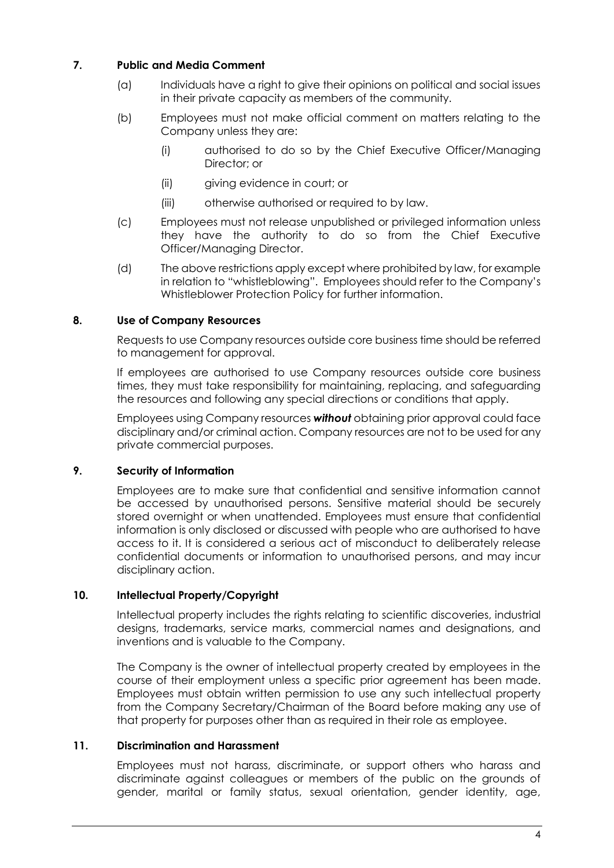# **7. Public and Media Comment**

- (a) Individuals have a right to give their opinions on political and social issues in their private capacity as members of the community.
- (b) Employees must not make official comment on matters relating to the Company unless they are:
	- (i) authorised to do so by the Chief Executive Officer/Managing Director; or
	- (ii) giving evidence in court; or
	- (iii) otherwise authorised or required to by law.
- (c) Employees must not release unpublished or privileged information unless they have the authority to do so from the Chief Executive Officer/Managing Director.
- (d) The above restrictions apply except where prohibited by law, for example in relation to "whistleblowing". Employees should refer to the Company's Whistleblower Protection Policy for further information.

## **8. Use of Company Resources**

Requests to use Company resources outside core business time should be referred to management for approval.

If employees are authorised to use Company resources outside core business times, they must take responsibility for maintaining, replacing, and safeguarding the resources and following any special directions or conditions that apply.

Employees using Company resources *without* obtaining prior approval could face disciplinary and/or criminal action. Company resources are not to be used for any private commercial purposes.

### **9. Security of Information**

Employees are to make sure that confidential and sensitive information cannot be accessed by unauthorised persons. Sensitive material should be securely stored overnight or when unattended. Employees must ensure that confidential information is only disclosed or discussed with people who are authorised to have access to it. It is considered a serious act of misconduct to deliberately release confidential documents or information to unauthorised persons, and may incur disciplinary action.

### **10. Intellectual Property/Copyright**

Intellectual property includes the rights relating to scientific discoveries, industrial designs, trademarks, service marks, commercial names and designations, and inventions and is valuable to the Company.

The Company is the owner of intellectual property created by employees in the course of their employment unless a specific prior agreement has been made. Employees must obtain written permission to use any such intellectual property from the Company Secretary/Chairman of the Board before making any use of that property for purposes other than as required in their role as employee.

### **11. Discrimination and Harassment**

Employees must not harass, discriminate, or support others who harass and discriminate against colleagues or members of the public on the grounds of gender, marital or family status, sexual orientation, gender identity, age,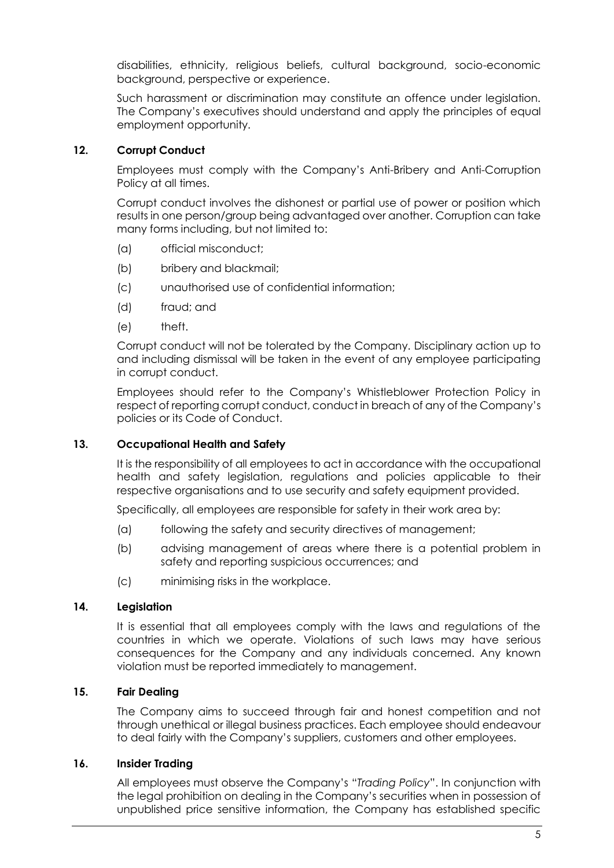disabilities, ethnicity, religious beliefs, cultural background, socio-economic background, perspective or experience.

Such harassment or discrimination may constitute an offence under legislation. The Company's executives should understand and apply the principles of equal employment opportunity.

## **12. Corrupt Conduct**

Employees must comply with the Company's Anti-Bribery and Anti-Corruption Policy at all times.

Corrupt conduct involves the dishonest or partial use of power or position which results in one person/group being advantaged over another. Corruption can take many forms including, but not limited to:

- (a) official misconduct;
- (b) bribery and blackmail;
- (c) unauthorised use of confidential information;
- (d) fraud; and
- (e) theft.

Corrupt conduct will not be tolerated by the Company. Disciplinary action up to and including dismissal will be taken in the event of any employee participating in corrupt conduct.

Employees should refer to the Company's Whistleblower Protection Policy in respect of reporting corrupt conduct, conduct in breach of any of the Company's policies or its Code of Conduct.

### **13. Occupational Health and Safety**

It is the responsibility of all employees to act in accordance with the occupational health and safety legislation, regulations and policies applicable to their respective organisations and to use security and safety equipment provided.

Specifically, all employees are responsible for safety in their work area by:

- (a) following the safety and security directives of management;
- (b) advising management of areas where there is a potential problem in safety and reporting suspicious occurrences; and
- (c) minimising risks in the workplace.

### **14. Legislation**

It is essential that all employees comply with the laws and regulations of the countries in which we operate. Violations of such laws may have serious consequences for the Company and any individuals concerned. Any known violation must be reported immediately to management.

### **15. Fair Dealing**

The Company aims to succeed through fair and honest competition and not through unethical or illegal business practices. Each employee should endeavour to deal fairly with the Company's suppliers, customers and other employees.

### **16. Insider Trading**

All employees must observe the Company's "*Trading Policy*". In conjunction with the legal prohibition on dealing in the Company's securities when in possession of unpublished price sensitive information, the Company has established specific